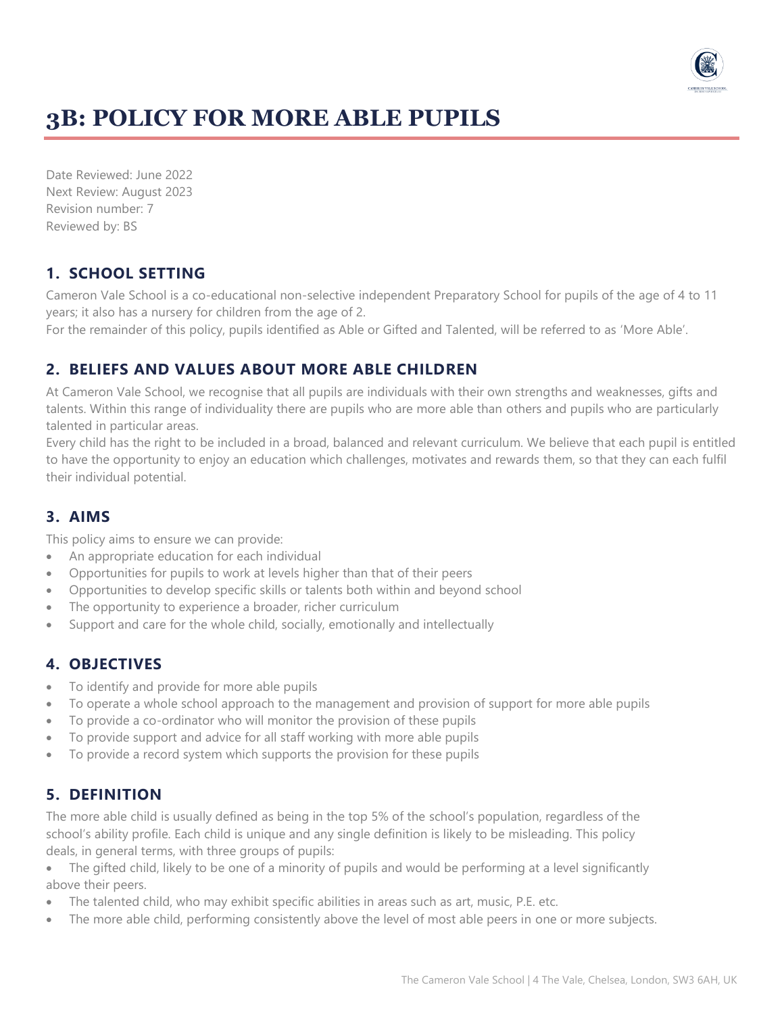

# **3B: POLICY FOR MORE ABLE PUPILS**

Date Reviewed: June 2022 Next Review: August 2023 Revision number: 7 Reviewed by: BS

#### **1. SCHOOL SETTING**

Cameron Vale School is a co-educational non-selective independent Preparatory School for pupils of the age of 4 to 11 years; it also has a nursery for children from the age of 2.

For the remainder of this policy, pupils identified as Able or Gifted and Talented, will be referred to as 'More Able'.

#### **2. BELIEFS AND VALUES ABOUT MORE ABLE CHILDREN**

At Cameron Vale School, we recognise that all pupils are individuals with their own strengths and weaknesses, gifts and talents. Within this range of individuality there are pupils who are more able than others and pupils who are particularly talented in particular areas.

Every child has the right to be included in a broad, balanced and relevant curriculum. We believe that each pupil is entitled to have the opportunity to enjoy an education which challenges, motivates and rewards them, so that they can each fulfil their individual potential.

### **3. AIMS**

This policy aims to ensure we can provide:

- An appropriate education for each individual
- Opportunities for pupils to work at levels higher than that of their peers
- Opportunities to develop specific skills or talents both within and beyond school
- The opportunity to experience a broader, richer curriculum
- Support and care for the whole child, socially, emotionally and intellectually

#### **4. OBJECTIVES**

- To identify and provide for more able pupils
- To operate a whole school approach to the management and provision of support for more able pupils
- To provide a co-ordinator who will monitor the provision of these pupils
- To provide support and advice for all staff working with more able pupils
- To provide a record system which supports the provision for these pupils

### **5. DEFINITION**

The more able child is usually defined as being in the top 5% of the school's population, regardless of the school's ability profile. Each child is unique and any single definition is likely to be misleading. This policy deals, in general terms, with three groups of pupils:

- The gifted child, likely to be one of a minority of pupils and would be performing at a level significantly above their peers.
- The talented child, who may exhibit specific abilities in areas such as art, music, P.E. etc.
- The more able child, performing consistently above the level of most able peers in one or more subjects.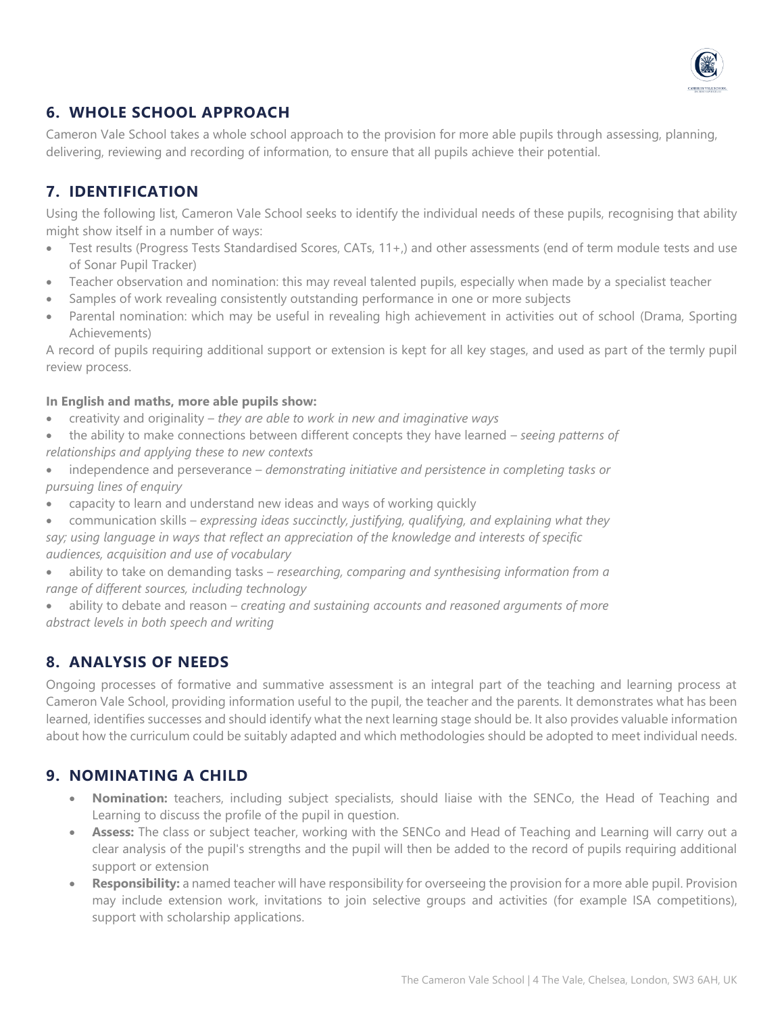

# **6. WHOLE SCHOOL APPROACH**

Cameron Vale School takes a whole school approach to the provision for more able pupils through assessing, planning, delivering, reviewing and recording of information, to ensure that all pupils achieve their potential.

## **7. IDENTIFICATION**

Using the following list, Cameron Vale School seeks to identify the individual needs of these pupils, recognising that ability might show itself in a number of ways:

- Test results (Progress Tests Standardised Scores, CATs, 11+,) and other assessments (end of term module tests and use of Sonar Pupil Tracker)
- Teacher observation and nomination: this may reveal talented pupils, especially when made by a specialist teacher
- Samples of work revealing consistently outstanding performance in one or more subjects
- Parental nomination: which may be useful in revealing high achievement in activities out of school (Drama, Sporting Achievements)

A record of pupils requiring additional support or extension is kept for all key stages, and used as part of the termly pupil review process.

#### **In English and maths, more able pupils show:**

- creativity and originality *they are able to work in new and imaginative ways*
- the ability to make connections between different concepts they have learned *seeing patterns of relationships and applying these to new contexts*
- independence and perseverance *demonstrating initiative and persistence in completing tasks or pursuing lines of enquiry*
- capacity to learn and understand new ideas and ways of working quickly
- communication skills *expressing ideas succinctly, justifying, qualifying, and explaining what they say; using language in ways that reflect an appreciation of the knowledge and interests of specific audiences, acquisition and use of vocabulary*
- ability to take on demanding tasks *researching, comparing and synthesising information from a range of different sources, including technology*

• ability to debate and reason – *creating and sustaining accounts and reasoned arguments of more abstract levels in both speech and writing*

### **8. ANALYSIS OF NEEDS**

Ongoing processes of formative and summative assessment is an integral part of the teaching and learning process at Cameron Vale School, providing information useful to the pupil, the teacher and the parents. It demonstrates what has been learned, identifies successes and should identify what the next learning stage should be. It also provides valuable information about how the curriculum could be suitably adapted and which methodologies should be adopted to meet individual needs.

#### **9. NOMINATING A CHILD**

- **Nomination:** teachers, including subject specialists, should liaise with the SENCo, the Head of Teaching and Learning to discuss the profile of the pupil in question.
- **Assess:** The class or subject teacher, working with the SENCo and Head of Teaching and Learning will carry out a clear analysis of the pupil's strengths and the pupil will then be added to the record of pupils requiring additional support or extension
- **Responsibility:** a named teacher will have responsibility for overseeing the provision for a more able pupil. Provision may include extension work, invitations to join selective groups and activities (for example ISA competitions), support with scholarship applications.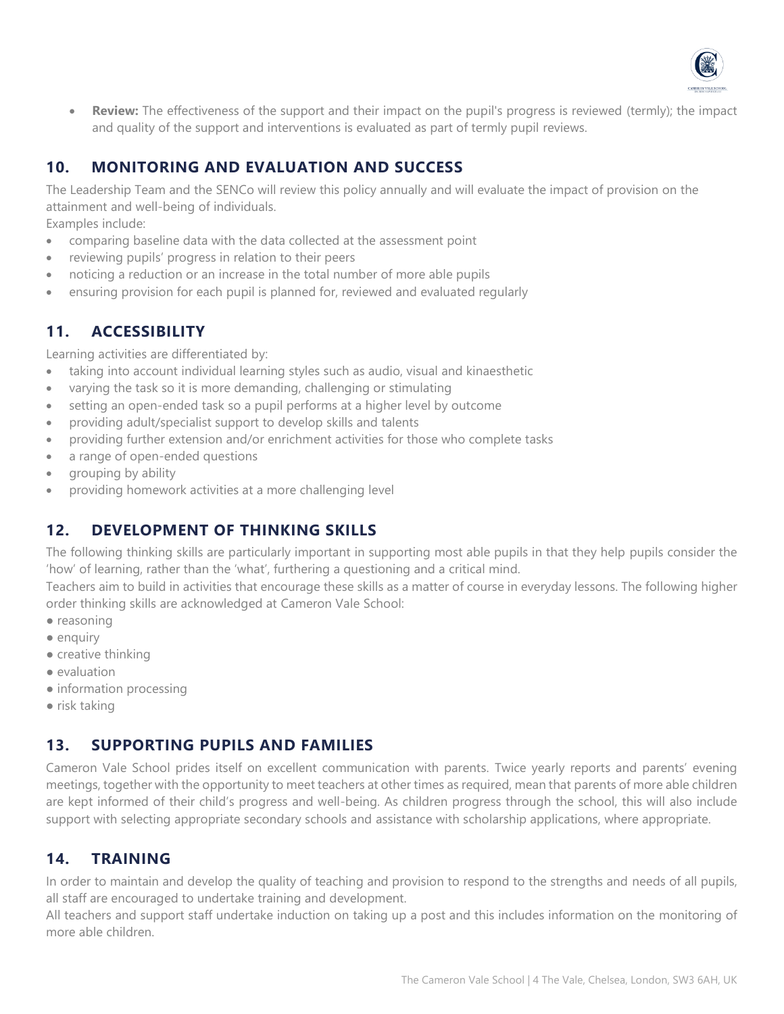

• **Review:** The effectiveness of the support and their impact on the pupil's progress is reviewed (termly); the impact and quality of the support and interventions is evaluated as part of termly pupil reviews.

# **10. MONITORING AND EVALUATION AND SUCCESS**

The Leadership Team and the SENCo will review this policy annually and will evaluate the impact of provision on the attainment and well-being of individuals.

Examples include:

- comparing baseline data with the data collected at the assessment point
- reviewing pupils' progress in relation to their peers
- noticing a reduction or an increase in the total number of more able pupils
- ensuring provision for each pupil is planned for, reviewed and evaluated regularly

# **11. ACCESSIBILITY**

Learning activities are differentiated by:

- taking into account individual learning styles such as audio, visual and kinaesthetic
- varying the task so it is more demanding, challenging or stimulating
- setting an open-ended task so a pupil performs at a higher level by outcome
- providing adult/specialist support to develop skills and talents
- providing further extension and/or enrichment activities for those who complete tasks
- a range of open-ended questions
- grouping by ability
- providing homework activities at a more challenging level

### **12. DEVELOPMENT OF THINKING SKILLS**

The following thinking skills are particularly important in supporting most able pupils in that they help pupils consider the 'how' of learning, rather than the 'what', furthering a questioning and a critical mind.

Teachers aim to build in activities that encourage these skills as a matter of course in everyday lessons. The following higher order thinking skills are acknowledged at Cameron Vale School:

- reasoning
- enquiry
- creative thinking
- evaluation
- information processing
- risk taking

### **13. SUPPORTING PUPILS AND FAMILIES**

Cameron Vale School prides itself on excellent communication with parents. Twice yearly reports and parents' evening meetings, together with the opportunity to meet teachers at other times as required, mean that parents of more able children are kept informed of their child's progress and well-being. As children progress through the school, this will also include support with selecting appropriate secondary schools and assistance with scholarship applications, where appropriate.

### **14. TRAINING**

In order to maintain and develop the quality of teaching and provision to respond to the strengths and needs of all pupils, all staff are encouraged to undertake training and development.

All teachers and support staff undertake induction on taking up a post and this includes information on the monitoring of more able children.